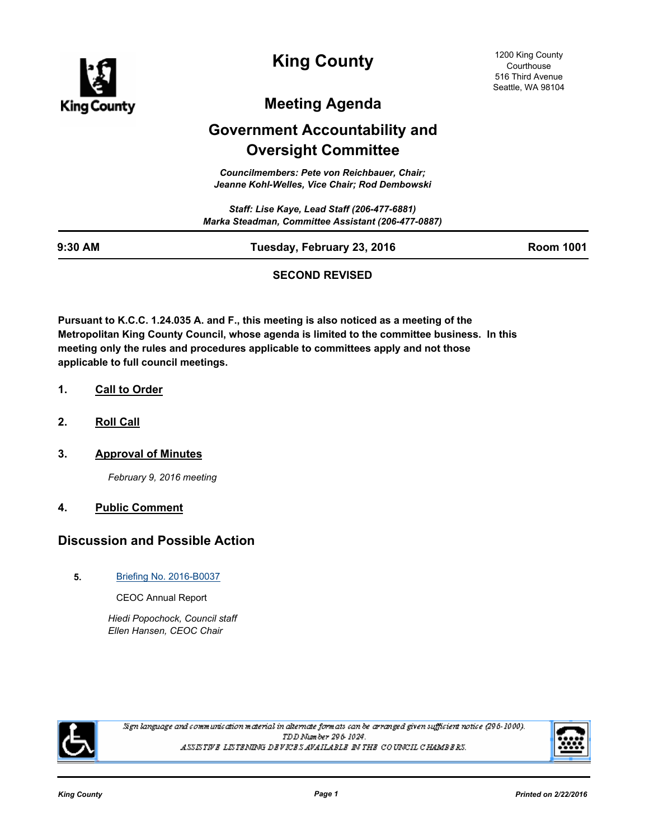

**King County**

1200 King County Courthouse 516 Third Avenue Seattle, WA 98104

# **Meeting Agenda**

# **Government Accountability and Oversight Committee**

*Councilmembers: Pete von Reichbauer, Chair; Jeanne Kohl-Welles, Vice Chair; Rod Dembowski*

*Staff: Lise Kaye, Lead Staff (206-477-6881) Marka Steadman, Committee Assistant (206-477-0887)*

**9:30 AM Tuesday, February 23, 2016 Room 1001**

### **SECOND REVISED**

**Pursuant to K.C.C. 1.24.035 A. and F., this meeting is also noticed as a meeting of the Metropolitan King County Council, whose agenda is limited to the committee business. In this meeting only the rules and procedures applicable to committees apply and not those applicable to full council meetings.**

- **1. Call to Order**
- **2. Roll Call**
- **3. Approval of Minutes**

*February 9, 2016 meeting*

### **4. Public Comment**

## **Discussion and Possible Action**

**5.** [Briefing No. 2016-B0037](http://kingcounty.legistar.com/gateway.aspx?m=l&id=/matter.aspx?key=16892)

CEOC Annual Report

*Hiedi Popochock, Council staff Ellen Hansen, CEOC Chair*



Sign language and communication material in alternate formats can be arranged given sufficient notice (296-1000). TDD Number 296-1024. ASSISTIVE LISTENING DEVICES AVAILABLE IN THE COUNCIL CHAMBERS.